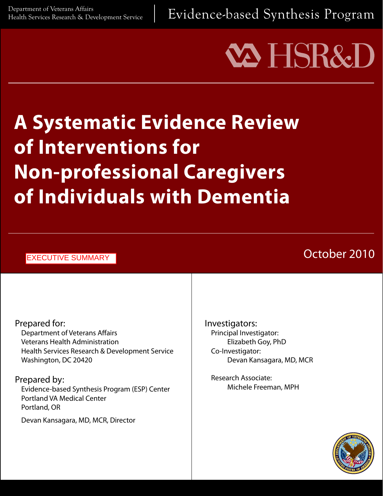Evidence-based Synthesis Program

# **VA HSR&**

# **A Systematic Evidence Review of Interventions for Non-professional Caregivers of Individuals with Dementia**

| <b>EXECUTIVE SUMMARY</b>                                                                                                                          | October 2010                                                                        |
|---------------------------------------------------------------------------------------------------------------------------------------------------|-------------------------------------------------------------------------------------|
|                                                                                                                                                   |                                                                                     |
| Prepared for:<br><b>Department of Veterans Affairs</b><br><b>Veterans Health Administration</b><br>Health Services Research & Development Service | Investigators:<br>Principal Investigator:<br>Elizabeth Goy, PhD<br>Co-Investigator: |

Washington, DC 20420 Prepared by:

Evidence-based Synthesis Program (ESP) Center Portland VA Medical Center Portland, OR

Devan Kansagara, MD, MCR, Director

Research Associate: Michele Freeman, MPH

Devan Kansagara, MD, MCR

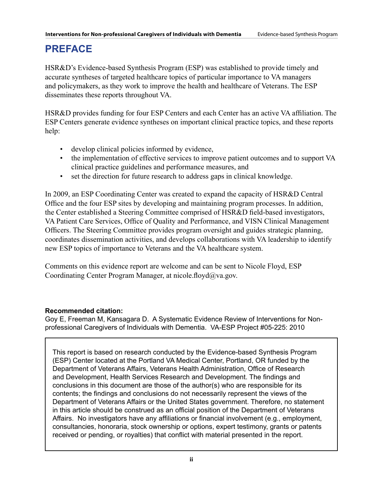# **PREFACE**

HSR&D's Evidence-based Synthesis Program (ESP) was established to provide timely and accurate syntheses of targeted healthcare topics of particular importance to VA managers and policymakers, as they work to improve the health and healthcare of Veterans. The ESP disseminates these reports throughout VA.

HSR&D provides funding for four ESP Centers and each Center has an active VA affiliation. The ESP Centers generate evidence syntheses on important clinical practice topics, and these reports help:

- develop clinical policies informed by evidence,
- the implementation of effective services to improve patient outcomes and to support VA clinical practice guidelines and performance measures, and
- set the direction for future research to address gaps in clinical knowledge.

In 2009, an ESP Coordinating Center was created to expand the capacity of HSR&D Central Office and the four ESP sites by developing and maintaining program processes. In addition, the Center established a Steering Committee comprised of HSR&D field-based investigators, VA Patient Care Services, Office of Quality and Performance, and VISN Clinical Management Officers. The Steering Committee provides program oversight and guides strategic planning, coordinates dissemination activities, and develops collaborations with VA leadership to identify new ESP topics of importance to Veterans and the VA healthcare system.

Comments on this evidence report are welcome and can be sent to Nicole Floyd, ESP Coordinating Center Program Manager, at nicole.floyd $\partial_{\mathcal{V}}$ a.gov.

#### **Recommended citation:**

Goy E, Freeman M, Kansagara D. A Systematic Evidence Review of Interventions for Nonprofessional Caregivers of Individuals with Dementia. VA-ESP Project #05-225: 2010

This report is based on research conducted by the Evidence-based Synthesis Program (ESP) Center located at the Portland VA Medical Center, Portland, OR funded by the Department of Veterans Affairs, Veterans Health Administration, Office of Research and Development, Health Services Research and Development. The findings and conclusions in this document are those of the author(s) who are responsible for its contents; the findings and conclusions do not necessarily represent the views of the Department of Veterans Affairs or the United States government. Therefore, no statement in this article should be construed as an official position of the Department of Veterans Affairs. No investigators have any affiliations or financial involvement (e.g., employment, consultancies, honoraria, stock ownership or options, expert testimony, grants or patents received or pending, or royalties) that conflict with material presented in the report.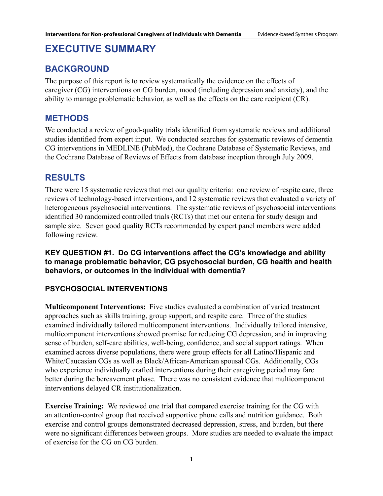# **EXECUTIVE SUMMARY**

# **Background**

The purpose of this report is to review systematically the evidence on the effects of caregiver (CG) interventions on CG burden, mood (including depression and anxiety), and the ability to manage problematic behavior, as well as the effects on the care recipient (CR).

# **Methods**

We conducted a review of good-quality trials identified from systematic reviews and additional studies identified from expert input. We conducted searches for systematic reviews of dementia CG interventions in MEDLINE (PubMed), the Cochrane Database of Systematic Reviews, and the Cochrane Database of Reviews of Effects from database inception through July 2009.

# **Results**

There were 15 systematic reviews that met our quality criteria: one review of respite care, three reviews of technology-based interventions, and 12 systematic reviews that evaluated a variety of heterogeneous psychosocial interventions. The systematic reviews of psychosocial interventions identified 30 randomized controlled trials (RCTs) that met our criteria for study design and sample size. Seven good quality RCTs recommended by expert panel members were added following review.

**KEY QUESTION #1. Do CG interventions affect the CG's knowledge and ability to manage problematic behavior, CG psychosocial burden, CG health and health behaviors, or outcomes in the individual with dementia?** 

### **Psychosocial interventions**

**Multicomponent Interventions:** Five studies evaluated a combination of varied treatment approaches such as skills training, group support, and respite care. Three of the studies examined individually tailored multicomponent interventions. Individually tailored intensive, multicomponent interventions showed promise for reducing CG depression, and in improving sense of burden, self-care abilities, well-being, confidence, and social support ratings. When examined across diverse populations, there were group effects for all Latino/Hispanic and White/Caucasian CGs as well as Black/African-American spousal CGs. Additionally, CGs who experience individually crafted interventions during their caregiving period may fare better during the bereavement phase. There was no consistent evidence that multicomponent interventions delayed CR institutionalization.

**Exercise Training:** We reviewed one trial that compared exercise training for the CG with an attention-control group that received supportive phone calls and nutrition guidance. Both exercise and control groups demonstrated decreased depression, stress, and burden, but there were no significant differences between groups. More studies are needed to evaluate the impact of exercise for the CG on CG burden.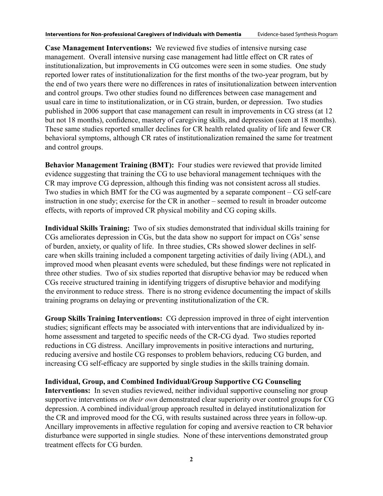**Case Management Interventions:** We reviewed five studies of intensive nursing case management. Overall intensive nursing case management had little effect on CR rates of institutionalization, but improvements in CG outcomes were seen in some studies. One study reported lower rates of institutionalization for the first months of the two-year program, but by the end of two years there were no differences in rates of insitutionalization between intervention and control groups. Two other studies found no differences between case management and usual care in time to institutionalization, or in CG strain, burden, or depression. Two studies published in 2006 support that case management can result in improvements in CG stress (at 12 but not 18 months), confidence, mastery of caregiving skills, and depression (seen at 18 months). These same studies reported smaller declines for CR health related quality of life and fewer CR behavioral symptoms, although CR rates of institutionalization remained the same for treatment and control groups.

**Behavior Management Training (BMT):** Four studies were reviewed that provide limited evidence suggesting that training the CG to use behavioral management techniques with the CR may improve CG depression, although this finding was not consistent across all studies. Two studies in which BMT for the CG was augmented by a separate component – CG self-care instruction in one study; exercise for the CR in another – seemed to result in broader outcome effects, with reports of improved CR physical mobility and CG coping skills.

**Individual Skills Training:** Two of six studies demonstrated that individual skills training for CGs ameliorates depression in CGs, but the data show no support for impact on CGs' sense of burden, anxiety, or quality of life. In three studies, CRs showed slower declines in selfcare when skills training included a component targeting activities of daily living (ADL), and improved mood when pleasant events were scheduled, but these findings were not replicated in three other studies. Two of six studies reported that disruptive behavior may be reduced when CGs receive structured training in identifying triggers of disruptive behavior and modifying the environment to reduce stress. There is no strong evidence documenting the impact of skills training programs on delaying or preventing institutionalization of the CR.

**Group Skills Training Interventions:** CG depression improved in three of eight intervention studies; significant effects may be associated with interventions that are individualized by inhome assessment and targeted to specific needs of the CR-CG dyad. Two studies reported reductions in CG distress. Ancillary improvements in positive interactions and nurturing, reducing aversive and hostile CG responses to problem behaviors, reducing CG burden, and increasing CG self-efficacy are supported by single studies in the skills training domain.

#### **Individual, Group, and Combined Individual/Group Supportive CG Counseling**

**Interventions:**In seven studies reviewed, neither individual supportive counseling nor group supportive interventions *on their own* demonstrated clear superiority over control groups for CG depression. A combined individual/group approach resulted in delayed institutionalization for the CR and improved mood for the CG, with results sustained across three years in follow-up. Ancillary improvements in affective regulation for coping and aversive reaction to CR behavior disturbance were supported in single studies. None of these interventions demonstrated group treatment effects for CG burden.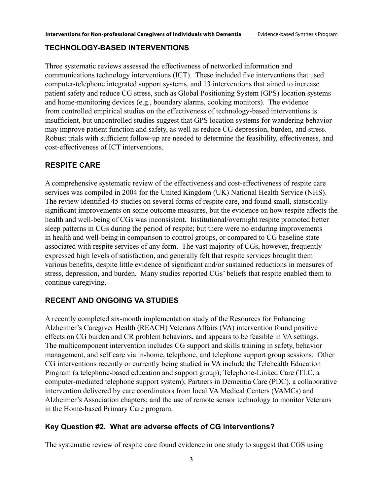#### **Technology-based Interventions**

Three systematic reviews assessed the effectiveness of networked information and communications technology interventions (ICT). These included five interventions that used computer-telephone integrated support systems, and 13 interventions that aimed to increase patient safety and reduce CG stress, such as Global Positioning System (GPS) location systems and home-monitoring devices (e.g., boundary alarms, cooking monitors). The evidence from controlled empirical studies on the effectiveness of technology-based interventions is insufficient, but uncontrolled studies suggest that GPS location systems for wandering behavior may improve patient function and safety, as well as reduce CG depression, burden, and stress. Robust trials with sufficient follow-up are needed to determine the feasibility, effectiveness, and cost-effectiveness of ICT interventions.

#### **Respite Care**

A comprehensive systematic review of the effectiveness and cost-effectiveness of respite care services was compiled in 2004 for the United Kingdom (UK) National Health Service (NHS). The review identified 45 studies on several forms of respite care, and found small, statisticallysignificant improvements on some outcome measures, but the evidence on how respite affects the health and well-being of CGs was inconsistent. Institutional/overnight respite promoted better sleep patterns in CGs during the period of respite; but there were no enduring improvements in health and well-being in comparison to control groups, or compared to CG baseline state associated with respite services of any form. The vast majority of CGs, however, frequently expressed high levels of satisfaction, and generally felt that respite services brought them various benefits, despite little evidence of significant and/or sustained reductions in measures of stress, depression, and burden. Many studies reported CGs' beliefs that respite enabled them to continue caregiving.

#### **Recent and Ongoing VA Studies**

A recently completed six-month implementation study of the Resources for Enhancing Alzheimer's Caregiver Health (REACH) Veterans Affairs (VA) intervention found positive effects on CG burden and CR problem behaviors, and appears to be feasible in VA settings. The multicomponent intervention includes CG support and skills training in safety, behavior management, and self care via in-home, telephone, and telephone support group sessions. Other CG interventions recently or currently being studied in VA include the Telehealth Education Program (a telephone-based education and support group); Telephone-Linked Care (TLC, a computer-mediated telephone support system); Partners in Dementia Care (PDC), a collaborative intervention delivered by care coordinators from local VA Medical Centers (VAMCs) and Alzheimer's Association chapters; and the use of remote sensor technology to monitor Veterans in the Home-based Primary Care program.

#### **Key Question #2. What are adverse effects of CG interventions?**

The systematic review of respite care found evidence in one study to suggest that CGS using